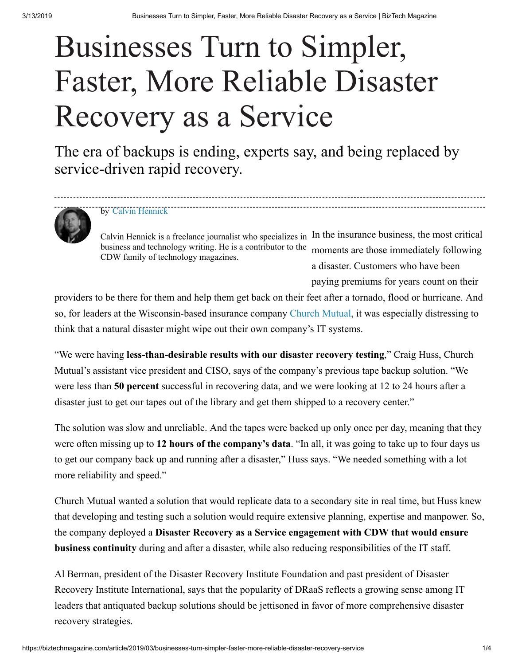# Businesses Turn to Simpler, Faster, More Reliable Disaster Recovery as a Service

The era of backups is ending, experts say, and being replaced by service-driven rapid recovery.



#### by [Calvin Hennic](https://biztechmagazine.com/author/calvin-hennick)[k](https://twitter.com/intent/follow?region=follow_link&screen_name=calvinhennick&tw_p=followbutton&variant=2.0)

Calvin Hennick is a freelance journalist who specializes in In the insurance business, the most critical business and technology writing. He is a contributor to the CDW family of technology magazines.

moments are those immediately following a disaster. Customers who have been paying premiums for years count on their

providers to be there for them and help them get back on their feet after a tornado, flood or hurricane. And so, for leaders at the Wisconsin-based insurance company [Church Mutual](https://www.churchmutual.com/), it was especially distressing to think that a natural disaster might wipe out their own company's IT systems.

"We were having **less-than-desirable results with our disaster recovery testing**," Craig Huss, Church Mutual's assistant vice president and CISO, says of the company's previous tape backup solution. "We were less than **50 percent** successful in recovering data, and we were looking at 12 to 24 hours after a disaster just to get our tapes out of the library and get them shipped to a recovery center."

The solution was slow and unreliable. And the tapes were backed up only once per day, meaning that they were often missing up to **12 hours of the company's data**. "In all, it was going to take up to four days us to get our company back up and running after a disaster," Huss says. "We needed something with a lot more reliability and speed."

Church Mutual wanted a solution that would replicate data to a secondary site in real time, but Huss knew that developing and testing such a solution would require extensive planning, expertise and manpower. So, the company deployed a **Disaster Recovery as a Service engagement with CDW that would ensure business continuity** during and after a disaster, while also reducing responsibilities of the IT staff.

Al Berman, president of the Disaster Recovery Institute Foundation and past president of Disaster Recovery Institute International, says that the popularity of DRaaS reflects a growing sense among IT leaders that antiquated backup solutions should be jettisoned in favor of more comprehensive disaster recovery strategies.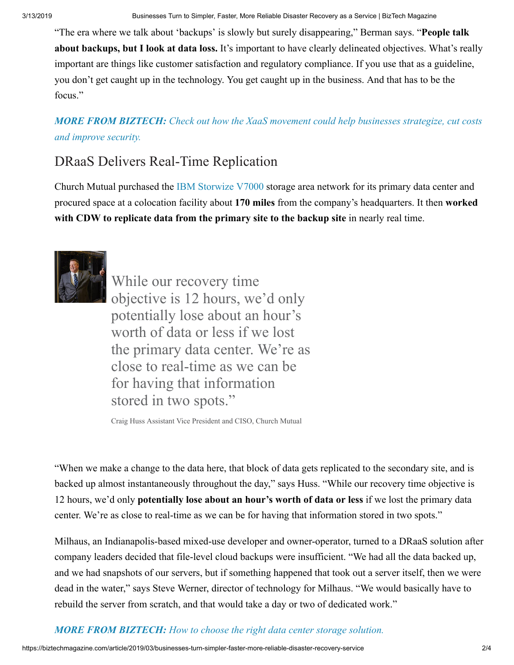"The era where we talk about 'backups' is slowly but surely disappearing," Berman says. "**People talk about backups, but I look at data loss.** It's important to have clearly delineated objectives. What's really important are things like customer satisfaction and regulatory compliance. If you use that as a guideline, you don't get caught up in the technology. You get caught up in the business. And that has to be the focus."

*MORE FROM BIZTECH: [Check out how the XaaS movement could help businesses strategize, cut costs](https://biztechmagazine.com/article/2018/11/once-novel-now-ubiquitous-evolution-everything-service) and improve security.*

### DRaaS Delivers Real-Time Replication

Church Mutual purchased the [IBM](https://www.cdw.com/content/cdw/en/brand/ibm.html?enkwrd=IBM) [Storwize V7000](https://www.cdwg.com/product/ibm-2076-24f-storwize-v7000-sff-expansion-enclosure/3398424?pfm=srh) storage area network for its primary data center and procured space at a colocation facility about **170 miles** from the company's headquarters. It then **worked with CDW to replicate data from the primary site to the backup site** in nearly real time.



While our recovery time objective is 12 hours, we'd only potentially lose about an hour's worth of data or less if we lost the primary data center. We're as close to real-time as we can be for having that information stored in two spots."

Craig Huss Assistant Vice President and CISO, Church Mutual

"When we make a change to the data here, that block of data gets replicated to the secondary site, and is backed up almost instantaneously throughout the day," says Huss. "While our recovery time objective is 12 hours, we'd only **potentially lose about an hour's worth of data or less** if we lost the primary data center. We're as close to real-time as we can be for having that information stored in two spots."

Milhaus, an Indianapolis-based mixed-use developer and owner-operator, turned to a DRaaS solution after company leaders decided that file-level cloud backups were insufficient. "We had all the data backed up, and we had snapshots of our servers, but if something happened that took out a server itself, then we were dead in the water," says Steve Werner, director of technology for Milhaus. "We would basically have to rebuild the server from scratch, and that would take a day or two of dedicated work."

#### *MORE FROM BIZTECH: [How to choose the right data center storage solution.](https://biztechmagazine.com/article/2018/11/hci-san-cloud-how-choose-right-data-center-storage-solution)*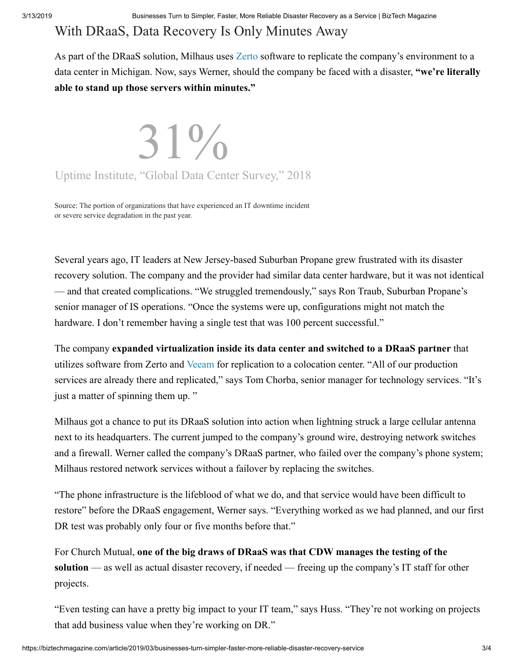## With DRaaS, Data Recovery Is Only Minutes Away

As part of the DRaaS solution, Milhaus uses [Zerto](https://www.cdw.com/search/?key=zerto&ctlgfilter=&searchscope=all&sr=1) software to replicate the company's environment to a data center in Michigan. Now, says Werner, should the company be faced with a disaster, **"we're literally able to stand up those servers within minutes."**

31%

Uptime Institute, "Global Data Center Survey," 2018

Source: The portion of organizations that have experienced an IT downtime incident or severe service degradation in the past year.

Several years ago, IT leaders at New Jersey-based Suburban Propane grew frustrated with its disaster recovery solution. The company and the provider had similar data center hardware, but it was not identical — and that created complications. "We struggled tremendously," says Ron Traub, Suburban Propane's senior manager of IS operations. "Once the systems were up, configurations might not match the hardware. I don't remember having a single test that was 100 percent successful."

The company **expanded virtualization inside its data center and switched to a DRaaS partner** that utilizes software from Zerto and [Veeam](https://www.cdw.com/content/cdw/en/brand/veeam.html) for replication to a colocation center. "All of our production services are already there and replicated," says Tom Chorba, senior manager for technology services. "It's just a matter of spinning them up. "

Milhaus got a chance to put its DRaaS solution into action when lightning struck a large cellular antenna next to its headquarters. The current jumped to the company's ground wire, destroying network switches and a firewall. Werner called the company's DRaaS partner, who failed over the company's phone system; Milhaus restored network services without a failover by replacing the switches.

"The phone infrastructure is the lifeblood of what we do, and that service would have been difficult to restore" before the DRaaS engagement, Werner says. "Everything worked as we had planned, and our first DR test was probably only four or five months before that."

For Church Mutual, **one of the big draws of DRaaS was that CDW manages the testing of the solution** — as well as actual disaster recovery, if needed — freeing up the company's IT staff for other projects.

"Even testing can have a pretty big impact to your IT team," says Huss. "They're not working on projects that add business value when they're working on DR."